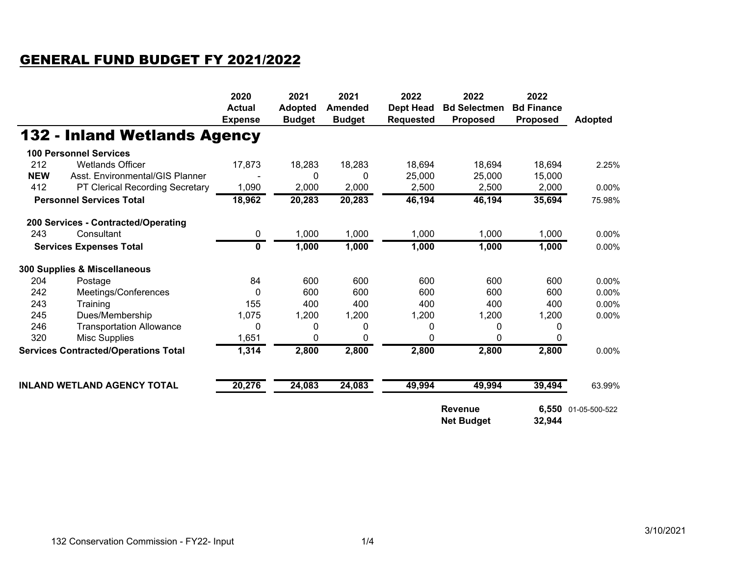## GENERAL FUND BUDGET FY 2021/2022

|                                             |                                     | 2020<br><b>Actual</b><br><b>Expense</b> | 2021<br><b>Adopted</b><br><b>Budget</b> | 2021<br><b>Amended</b><br><b>Budget</b> | 2022<br><b>Dept Head</b><br><b>Requested</b>  | 2022<br><b>Bd Selectmen</b><br><b>Proposed</b> | 2022<br><b>Bd Finance</b><br><b>Proposed</b> | <b>Adopted</b> |
|---------------------------------------------|-------------------------------------|-----------------------------------------|-----------------------------------------|-----------------------------------------|-----------------------------------------------|------------------------------------------------|----------------------------------------------|----------------|
|                                             | <b>132 - Inland Wetlands Agency</b> |                                         |                                         |                                         |                                               |                                                |                                              |                |
|                                             | <b>100 Personnel Services</b>       |                                         |                                         |                                         |                                               |                                                |                                              |                |
| 212                                         | <b>Wetlands Officer</b>             | 17,873                                  | 18,283                                  | 18,283                                  | 18,694                                        | 18,694                                         | 18,694                                       | 2.25%          |
| <b>NEW</b>                                  | Asst. Environmental/GIS Planner     |                                         | $\Omega$                                | $\Omega$                                | 25,000                                        | 25,000                                         | 15,000                                       |                |
| 412                                         | PT Clerical Recording Secretary     | 1,090                                   | 2,000                                   | 2,000                                   | 2,500                                         | 2,500                                          | 2,000                                        | $0.00\%$       |
| <b>Personnel Services Total</b>             |                                     | 18,962                                  | 20,283                                  | 20,283                                  | 46,194                                        | 46,194                                         | 35,694                                       | 75.98%         |
|                                             | 200 Services - Contracted/Operating |                                         |                                         |                                         |                                               |                                                |                                              |                |
| 243                                         | Consultant                          | 0                                       | 1,000                                   | 1,000                                   | 1,000                                         | 1,000                                          | 1,000                                        | 0.00%          |
| <b>Services Expenses Total</b>              |                                     | $\mathbf{0}$                            | 1,000                                   | 1,000                                   | 1,000                                         | 1,000                                          | 1,000                                        | 0.00%          |
|                                             | 300 Supplies & Miscellaneous        |                                         |                                         |                                         |                                               |                                                |                                              |                |
| 204                                         | Postage                             | 84                                      | 600                                     | 600                                     | 600                                           | 600                                            | 600                                          | 0.00%          |
| 242                                         | Meetings/Conferences                | 0                                       | 600                                     | 600                                     | 600                                           | 600                                            | 600                                          | 0.00%          |
| 243                                         | Training                            | 155                                     | 400                                     | 400                                     | 400                                           | 400                                            | 400                                          | 0.00%          |
| 245                                         | Dues/Membership                     | 1,075                                   | 1,200                                   | 1,200                                   | 1,200                                         | 1,200                                          | 1,200                                        | 0.00%          |
| 246                                         | <b>Transportation Allowance</b>     | 0                                       | 0                                       | 0                                       | 0                                             | 0                                              | 0                                            |                |
| 320                                         | Misc Supplies                       | 1,651                                   | 0                                       | $\Omega$                                | 0                                             | 0                                              | 0                                            |                |
| <b>Services Contracted/Operations Total</b> |                                     | 1,314                                   | 2,800                                   | 2,800                                   | 2,800                                         | 2,800                                          | 2,800                                        | 0.00%          |
|                                             | <b>INLAND WETLAND AGENCY TOTAL</b>  | 20,276                                  | 24,083                                  | 24,083                                  | 49,994                                        | 49,994                                         | 39,494                                       | 63.99%         |
|                                             |                                     |                                         |                                         |                                         | <b>Revenue</b><br><b>Net Budget</b><br>32,944 |                                                | 6,550 01-05-500-522                          |                |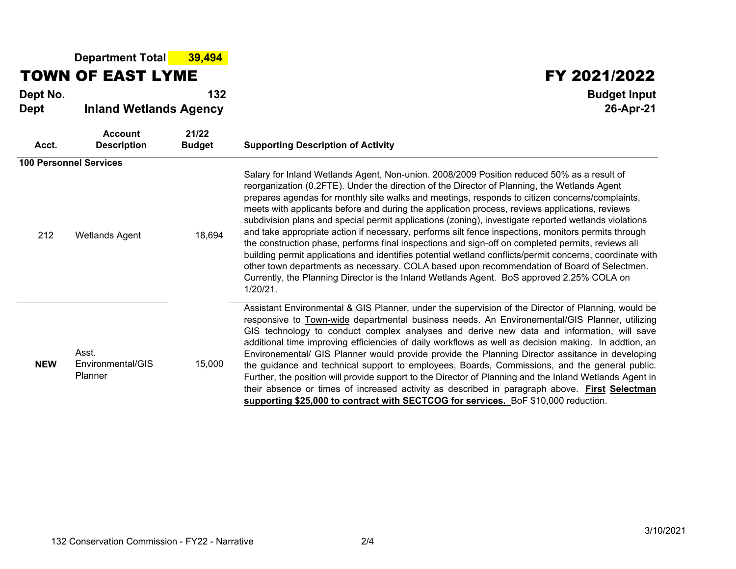**Department Total 39,494**

## TOWN OF EAST LYME

**Dept No. <sup>132</sup> Budget Input**

## **Dept Inland Wetlands Agency 26-Apr-21**

| Acct.      | <b>Account</b><br><b>Description</b>  | 21/22<br><b>Budget</b> | <b>Supporting Description of Activity</b>                                                                                                                                                                                                                                                                                                                                                                                                                                                                                                                                                                                                                                                                                                                                                                                                                                                                                                                                                                                                |
|------------|---------------------------------------|------------------------|------------------------------------------------------------------------------------------------------------------------------------------------------------------------------------------------------------------------------------------------------------------------------------------------------------------------------------------------------------------------------------------------------------------------------------------------------------------------------------------------------------------------------------------------------------------------------------------------------------------------------------------------------------------------------------------------------------------------------------------------------------------------------------------------------------------------------------------------------------------------------------------------------------------------------------------------------------------------------------------------------------------------------------------|
|            | <b>100 Personnel Services</b>         |                        |                                                                                                                                                                                                                                                                                                                                                                                                                                                                                                                                                                                                                                                                                                                                                                                                                                                                                                                                                                                                                                          |
| 212        | <b>Wetlands Agent</b>                 | 18,694                 | Salary for Inland Wetlands Agent, Non-union. 2008/2009 Position reduced 50% as a result of<br>reorganization (0.2FTE). Under the direction of the Director of Planning, the Wetlands Agent<br>prepares agendas for monthly site walks and meetings, responds to citizen concerns/complaints,<br>meets with applicants before and during the application process, reviews applications, reviews<br>subdivision plans and special permit applications (zoning), investigate reported wetlands violations<br>and take appropriate action if necessary, performs silt fence inspections, monitors permits through<br>the construction phase, performs final inspections and sign-off on completed permits, reviews all<br>building permit applications and identifies potential wetland conflicts/permit concerns, coordinate with<br>other town departments as necessary. COLA based upon recommendation of Board of Selectmen.<br>Currently, the Planning Director is the Inland Wetlands Agent. BoS approved 2.25% COLA on<br>$1/20/21$ . |
| <b>NEW</b> | Asst.<br>Environmental/GIS<br>Planner | 15,000                 | Assistant Environmental & GIS Planner, under the supervision of the Director of Planning, would be<br>responsive to Town-wide departmental business needs. An Environemental/GIS Planner, utilizing<br>GIS technology to conduct complex analyses and derive new data and information, will save<br>additional time improving efficiencies of daily workflows as well as decision making. In addtion, an<br>Environemental/ GIS Planner would provide provide the Planning Director assitance in developing<br>the guidance and technical support to employees, Boards, Commissions, and the general public.<br>Further, the position will provide support to the Director of Planning and the Inland Wetlands Agent in<br>their absence or times of increased activity as described in paragraph above. First Selectman<br>supporting \$25,000 to contract with SECTCOG for services. BoF \$10,000 reduction.                                                                                                                           |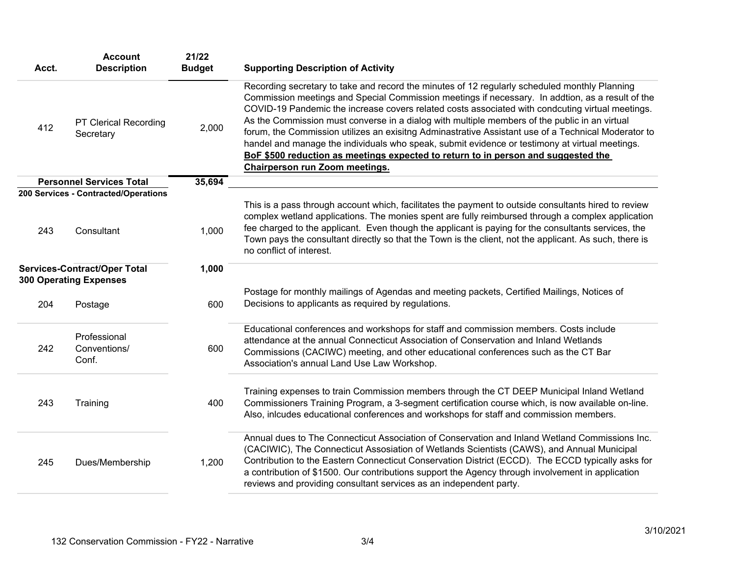| Acct.                                                                | <b>Account</b><br><b>Description</b>               | 21/22<br><b>Budget</b> | <b>Supporting Description of Activity</b>                                                                                                                                                                                                                                                                                                                                                                                                                                                                                                                                                                                                                                                                                              |
|----------------------------------------------------------------------|----------------------------------------------------|------------------------|----------------------------------------------------------------------------------------------------------------------------------------------------------------------------------------------------------------------------------------------------------------------------------------------------------------------------------------------------------------------------------------------------------------------------------------------------------------------------------------------------------------------------------------------------------------------------------------------------------------------------------------------------------------------------------------------------------------------------------------|
| 412                                                                  | PT Clerical Recording<br>Secretary                 | 2,000                  | Recording secretary to take and record the minutes of 12 regularly scheduled monthly Planning<br>Commission meetings and Special Commission meetings if necessary. In addtion, as a result of the<br>COVID-19 Pandemic the increase covers related costs associated with condcuting virtual meetings.<br>As the Commission must converse in a dialog with multiple members of the public in an virtual<br>forum, the Commission utilizes an exisitng Adminastrative Assistant use of a Technical Moderator to<br>handel and manage the individuals who speak, submit evidence or testimony at virtual meetings.<br>BoF \$500 reduction as meetings expected to return to in person and suggested the<br>Chairperson run Zoom meetings. |
|                                                                      | <b>Personnel Services Total</b>                    | 35,694                 |                                                                                                                                                                                                                                                                                                                                                                                                                                                                                                                                                                                                                                                                                                                                        |
| 243                                                                  | 200 Services - Contracted/Operations<br>Consultant | 1,000                  | This is a pass through account which, facilitates the payment to outside consultants hired to review<br>complex wetland applications. The monies spent are fully reimbursed through a complex application<br>fee charged to the applicant. Even though the applicant is paying for the consultants services, the<br>Town pays the consultant directly so that the Town is the client, not the applicant. As such, there is<br>no conflict of interest.                                                                                                                                                                                                                                                                                 |
| <b>Services-Contract/Oper Total</b><br><b>300 Operating Expenses</b> |                                                    | 1,000                  | Postage for monthly mailings of Agendas and meeting packets, Certified Mailings, Notices of                                                                                                                                                                                                                                                                                                                                                                                                                                                                                                                                                                                                                                            |
| 204                                                                  | Postage                                            | 600                    | Decisions to applicants as required by regulations.                                                                                                                                                                                                                                                                                                                                                                                                                                                                                                                                                                                                                                                                                    |
| 242                                                                  | Professional<br>Conventions/<br>Conf.              | 600                    | Educational conferences and workshops for staff and commission members. Costs include<br>attendance at the annual Connecticut Association of Conservation and Inland Wetlands<br>Commissions (CACIWC) meeting, and other educational conferences such as the CT Bar<br>Association's annual Land Use Law Workshop.                                                                                                                                                                                                                                                                                                                                                                                                                     |
| 243                                                                  | Training                                           | 400                    | Training expenses to train Commission members through the CT DEEP Municipal Inland Wetland<br>Commissioners Training Program, a 3-segment certification course which, is now available on-line.<br>Also, inlcudes educational conferences and workshops for staff and commission members.                                                                                                                                                                                                                                                                                                                                                                                                                                              |
| 245                                                                  | Dues/Membership                                    | 1,200                  | Annual dues to The Connecticut Association of Conservation and Inland Wetland Commissions Inc.<br>(CACIWIC), The Connecticut Assosiation of Wetlands Scientists (CAWS), and Annual Municipal<br>Contribution to the Eastern Connecticut Conservation District (ECCD). The ECCD typically asks for<br>a contribution of \$1500. Our contributions support the Agency through involvement in application<br>reviews and providing consultant services as an independent party.                                                                                                                                                                                                                                                           |